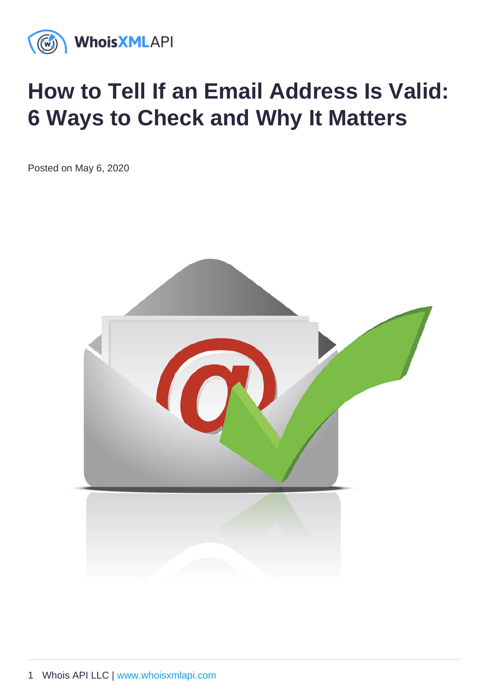# How to Tell If an Email Address Is Valid: 6 Ways to Check and Why It Matters

Posted on May 6, 2020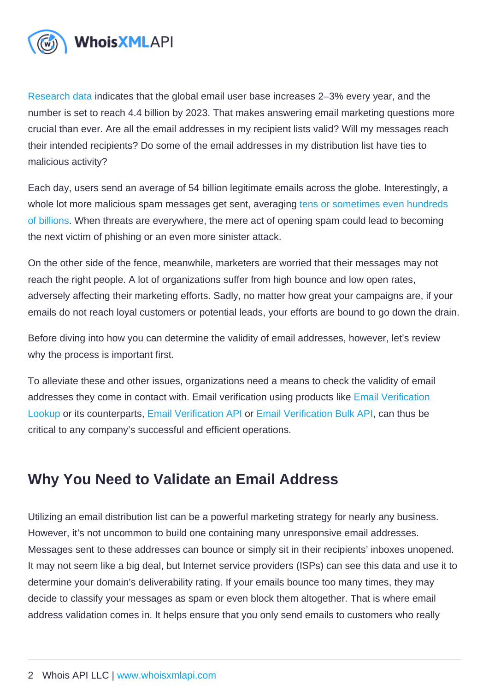[Research data](https://www.statista.com/statistics/255080/number-of-e-mail-users-worldwide/) indicates that the global email user base increases 2–3% every year, and the number is set to reach 4.4 billion by 2023. That makes answering email marketing questions more crucial than ever. Are all the email addresses in my recipient lists valid? Will my messages reach their intended recipients? Do some of the email addresses in my distribution list have ties to malicious activity?

Each day, users send an average of 54 billion legitimate emails across the globe. Interestingly, a whole lot more malicious spam messages get sent, averaging [tens or sometimes even hundreds](https://talosintelligence.com/reputation_center/email_rep)  [of billions](https://talosintelligence.com/reputation_center/email_rep). When threats are everywhere, the mere act of opening spam could lead to becoming the next victim of phishing or an even more sinister attack.

On the other side of the fence, meanwhile, marketers are worried that their messages may not reach the right people. A lot of organizations suffer from high bounce and low open rates, adversely affecting their marketing efforts. Sadly, no matter how great your campaigns are, if your emails do not reach loyal customers or potential leads, your efforts are bound to go down the drain.

Before diving into how you can determine the validity of email addresses, however, let's review why the process is important first.

To alleviate these and other issues, organizations need a means to check the validity of email addresses they come in contact with. Email verification using products like [Email Verification](https://emailverification.whoisxmlapi.com/lookup)  [Lookup](https://emailverification.whoisxmlapi.com/lookup) or its counterparts, [Email Verification API](https://emailverification.whoisxmlapi.com/api) or [Email Verification Bulk API](https://emailverification.whoisxmlapi.com/bulk-api), can thus be critical to any company's successful and efficient operations.

# Why You Need to Validate an Email Address

Utilizing an email distribution list can be a powerful marketing strategy for nearly any business. However, it's not uncommon to build one containing many unresponsive email addresses. Messages sent to these addresses can bounce or simply sit in their recipients' inboxes unopened. It may not seem like a big deal, but Internet service providers (ISPs) can see this data and use it to determine your domain's deliverability rating. If your emails bounce too many times, they may decide to classify your messages as spam or even block them altogether. That is where email address validation comes in. It helps ensure that you only send emails to customers who really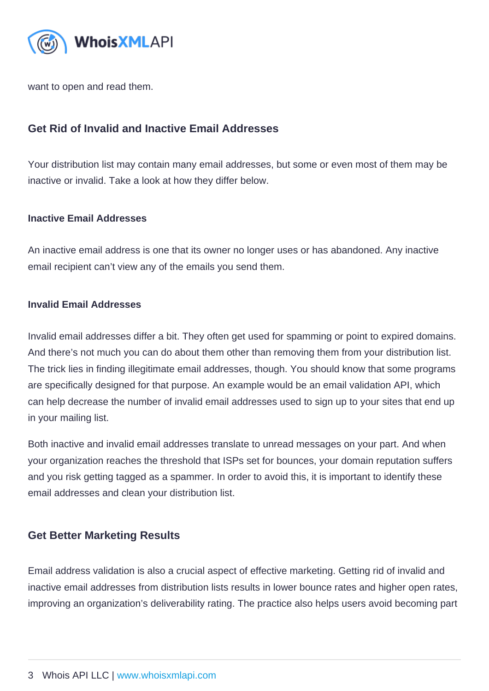want to open and read them.

## Get Rid of Invalid and Inactive Email Addresses

Your distribution list may contain many email addresses, but some or even most of them may be inactive or invalid. Take a look at how they differ below.

#### Inactive Email Addresses

An inactive email address is one that its owner no longer uses or has abandoned. Any inactive email recipient can't view any of the emails you send them.

#### Invalid Email Addresses

Invalid email addresses differ a bit. They often get used for spamming or point to expired domains. And there's not much you can do about them other than removing them from your distribution list. The trick lies in finding illegitimate email addresses, though. You should know that some programs are specifically designed for that purpose. An example would be an email validation API, which can help decrease the number of invalid email addresses used to sign up to your sites that end up in your mailing list.

Both inactive and invalid email addresses translate to unread messages on your part. And when your organization reaches the threshold that ISPs set for bounces, your domain reputation suffers and you risk getting tagged as a spammer. In order to avoid this, it is important to identify these email addresses and clean your distribution list.

## Get Better Marketing Results

Email address validation is also a crucial aspect of effective marketing. Getting rid of invalid and inactive email addresses from distribution lists results in lower bounce rates and higher open rates, improving an organization's deliverability rating. The practice also helps users avoid becoming part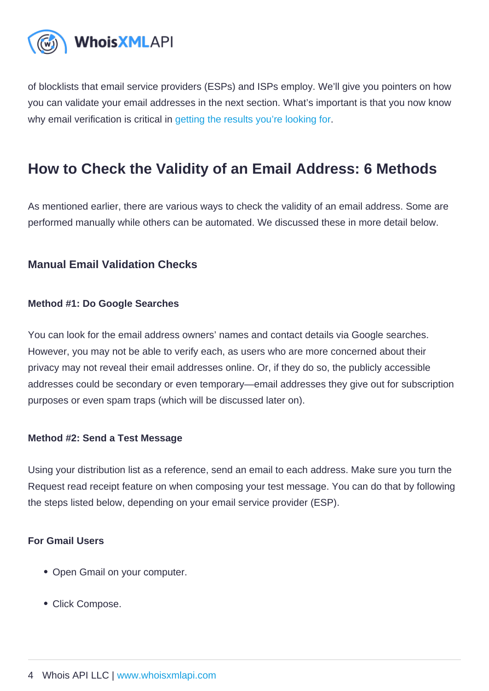of blocklists that email service providers (ESPs) and ISPs employ. We'll give you pointers on how you can validate your email addresses in the next section. What's important is that you now know why email verification is critical in [getting the results you're looking for.](https://emailverification.whoisxmlapi.com/blog/how-real-time-email-validation-can-boost-profit)

# How to Check the Validity of an Email Address: 6 Methods

As mentioned earlier, there are various ways to check the validity of an email address. Some are performed manually while others can be automated. We discussed these in more detail below.

Manual Email Validation Checks

Method #1: Do Google Searches

You can look for the email address owners' names and contact details via Google searches. However, you may not be able to verify each, as users who are more concerned about their privacy may not reveal their email addresses online. Or, if they do so, the publicly accessible addresses could be secondary or even temporary—email addresses they give out for subscription purposes or even spam traps (which will be discussed later on).

Method #2: Send a Test Message

Using your distribution list as a reference, send an email to each address. Make sure you turn the Request read receipt feature on when composing your test message. You can do that by following the steps listed below, depending on your email service provider (ESP).

For Gmail Users

- Open Gmail on your computer.
- Click Compose.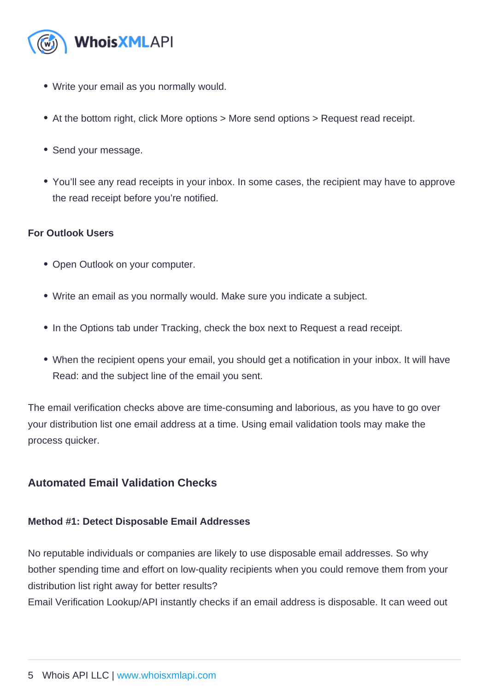- Write your email as you normally would.
- At the bottom right, click More options > More send options > Request read receipt.
- Send your message.
- You'll see any read receipts in your inbox. In some cases, the recipient may have to approve the read receipt before you're notified.

#### For Outlook Users

- Open Outlook on your computer.
- Write an email as you normally would. Make sure you indicate a subject.
- In the Options tab under Tracking, check the box next to Request a read receipt.
- When the recipient opens your email, you should get a notification in your inbox. It will have Read: and the subject line of the email you sent.

The email verification checks above are time-consuming and laborious, as you have to go over your distribution list one email address at a time. Using email validation tools may make the process quicker.

## Automated Email Validation Checks

Method #1: Detect Disposable Email Addresses

No reputable individuals or companies are likely to use disposable email addresses. So why bother spending time and effort on low-quality recipients when you could remove them from your distribution list right away for better results?

Email Verification Lookup/API instantly checks if an email address is disposable. It can weed out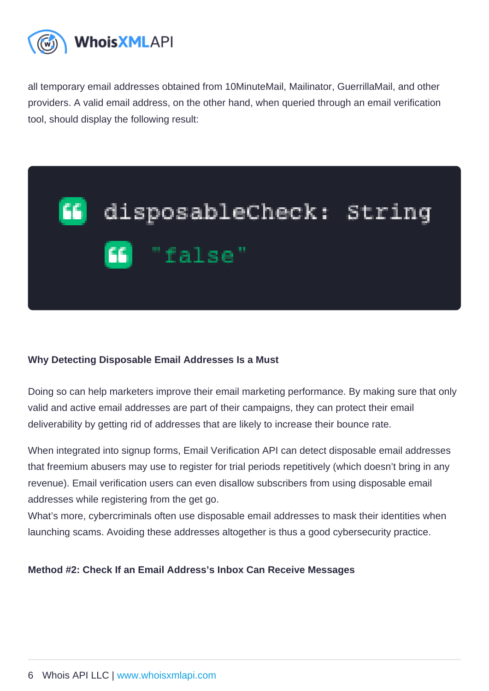all temporary email addresses obtained from 10MinuteMail, Mailinator, GuerrillaMail, and other providers. A valid email address, on the other hand, when queried through an email verification tool, should display the following result:

Why Detecting Disposable Email Addresses Is a Must

Doing so can help marketers improve their email marketing performance. By making sure that only valid and active email addresses are part of their campaigns, they can protect their email deliverability by getting rid of addresses that are likely to increase their bounce rate.

When integrated into signup forms, Email Verification API can detect disposable email addresses that freemium abusers may use to register for trial periods repetitively (which doesn't bring in any revenue). Email verification users can even disallow subscribers from using disposable email addresses while registering from the get go.

What's more, cybercriminals often use disposable email addresses to mask their identities when launching scams. Avoiding these addresses altogether is thus a good cybersecurity practice.

Method #2: Check If an Email Address's Inbox Can Receive Messages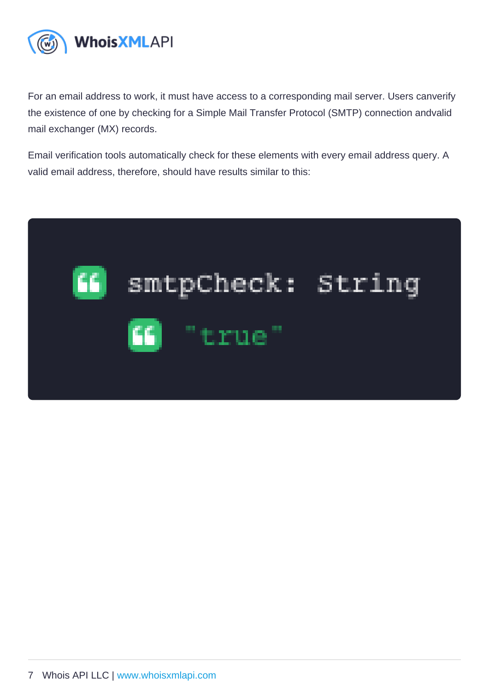For an email address to work, it must have access to a corresponding mail server. Users canverify the existence of one by checking for a Simple Mail Transfer Protocol (SMTP) connection andvalid mail exchanger (MX) records.

Email verification tools automatically check for these elements with every email address query. A valid email address, therefore, should have results similar to this: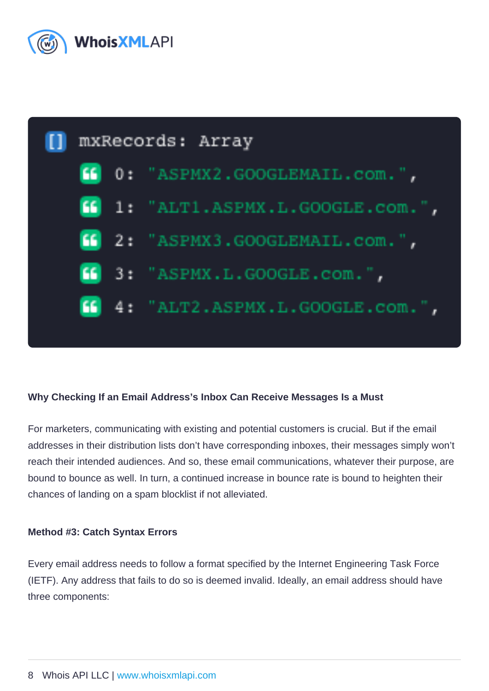Why Checking If an Email Address's Inbox Can Receive Messages Is a Must

For marketers, communicating with existing and potential customers is crucial. But if the email addresses in their distribution lists don't have corresponding inboxes, their messages simply won't reach their intended audiences. And so, these email communications, whatever their purpose, are bound to bounce as well. In turn, a continued increase in bounce rate is bound to heighten their chances of landing on a spam blocklist if not alleviated.

Method #3: Catch Syntax Errors

Every email address needs to follow a format specified by the Internet Engineering Task Force (IETF). Any address that fails to do so is deemed invalid. Ideally, an email address should have three components: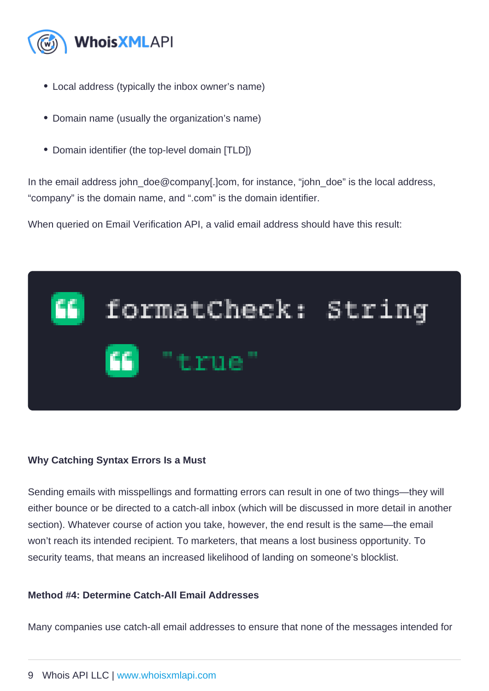- Local address (typically the inbox owner's name)
- Domain name (usually the organization's name)
- Domain identifier (the top-level domain [TLD])

In the email address john\_doe@company[.]com, for instance, "john\_doe" is the local address, "company" is the domain name, and ".com" is the domain identifier.

When queried on Email Verification API, a valid email address should have this result:

Why Catching Syntax Errors Is a Must

Sending emails with misspellings and formatting errors can result in one of two things—they will either bounce or be directed to a catch-all inbox (which will be discussed in more detail in another section). Whatever course of action you take, however, the end result is the same—the email won't reach its intended recipient. To marketers, that means a lost business opportunity. To security teams, that means an increased likelihood of landing on someone's blocklist.

Method #4: Determine Catch-All Email Addresses

Many companies use catch-all email addresses to ensure that none of the messages intended for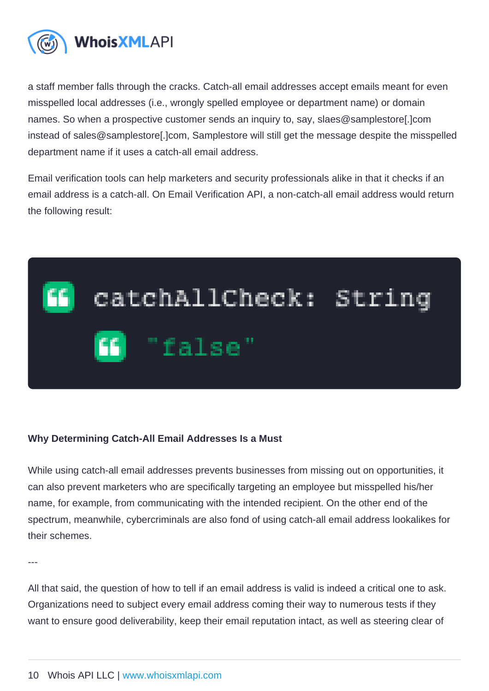a staff member falls through the cracks. Catch-all email addresses accept emails meant for even misspelled local addresses (i.e., wrongly spelled employee or department name) or domain names. So when a prospective customer sends an inquiry to, say, slaes@samplestore[.]com instead of sales@samplestore[.]com, Samplestore will still get the message despite the misspelled department name if it uses a catch-all email address.

Email verification tools can help marketers and security professionals alike in that it checks if an email address is a catch-all. On Email Verification API, a non-catch-all email address would return the following result:

## Why Determining Catch-All Email Addresses Is a Must

While using catch-all email addresses prevents businesses from missing out on opportunities, it can also prevent marketers who are specifically targeting an employee but misspelled his/her name, for example, from communicating with the intended recipient. On the other end of the spectrum, meanwhile, cybercriminals are also fond of using catch-all email address lookalikes for their schemes.

---

All that said, the question of how to tell if an email address is valid is indeed a critical one to ask. Organizations need to subject every email address coming their way to numerous tests if they want to ensure good deliverability, keep their email reputation intact, as well as steering clear of